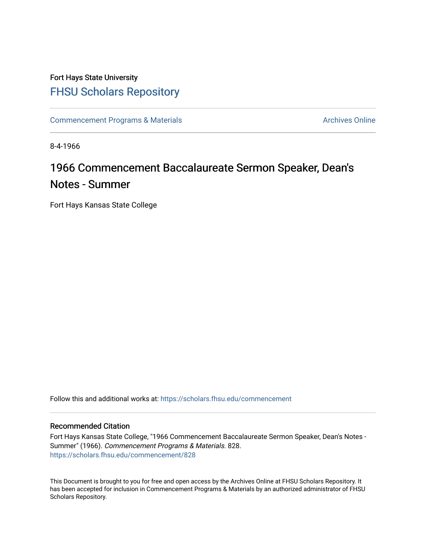## Fort Hays State University [FHSU Scholars Repository](https://scholars.fhsu.edu/)

[Commencement Programs & Materials](https://scholars.fhsu.edu/commencement) Archives Online

8-4-1966

## 1966 Commencement Baccalaureate Sermon Speaker, Dean's Notes - Summer

Fort Hays Kansas State College

Follow this and additional works at: [https://scholars.fhsu.edu/commencement](https://scholars.fhsu.edu/commencement?utm_source=scholars.fhsu.edu%2Fcommencement%2F828&utm_medium=PDF&utm_campaign=PDFCoverPages)

## Recommended Citation

Fort Hays Kansas State College, "1966 Commencement Baccalaureate Sermon Speaker, Dean's Notes - Summer" (1966). Commencement Programs & Materials. 828. [https://scholars.fhsu.edu/commencement/828](https://scholars.fhsu.edu/commencement/828?utm_source=scholars.fhsu.edu%2Fcommencement%2F828&utm_medium=PDF&utm_campaign=PDFCoverPages)

This Document is brought to you for free and open access by the Archives Online at FHSU Scholars Repository. It has been accepted for inclusion in Commencement Programs & Materials by an authorized administrator of FHSU Scholars Repository.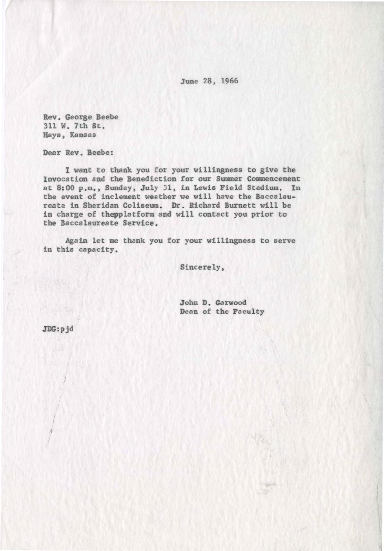June 28, 1966

Rev . George Beebe 311 W. 7th St. Hays, Kansas

Dear Rev. **Beebe:** 

I want to thank you for your willingness to give the Invocation and the Benediction for our Summer Commencement at 8: 00 p.m. , Sunday, July 31, in Lewis Field Stadium. In the event of inclement weather we will have the Baccalaureate in Sheridan Coliseum. Dr . Richard Burnett will be in charge of thepplatform and will contact you prior to the Baccalaureate Service .

Again let me thank you for your willingness to serve in this capacity .

Sincerely,

John D. Garwood Dean of the Faculty

**JDG:pjd** 

I I ,/